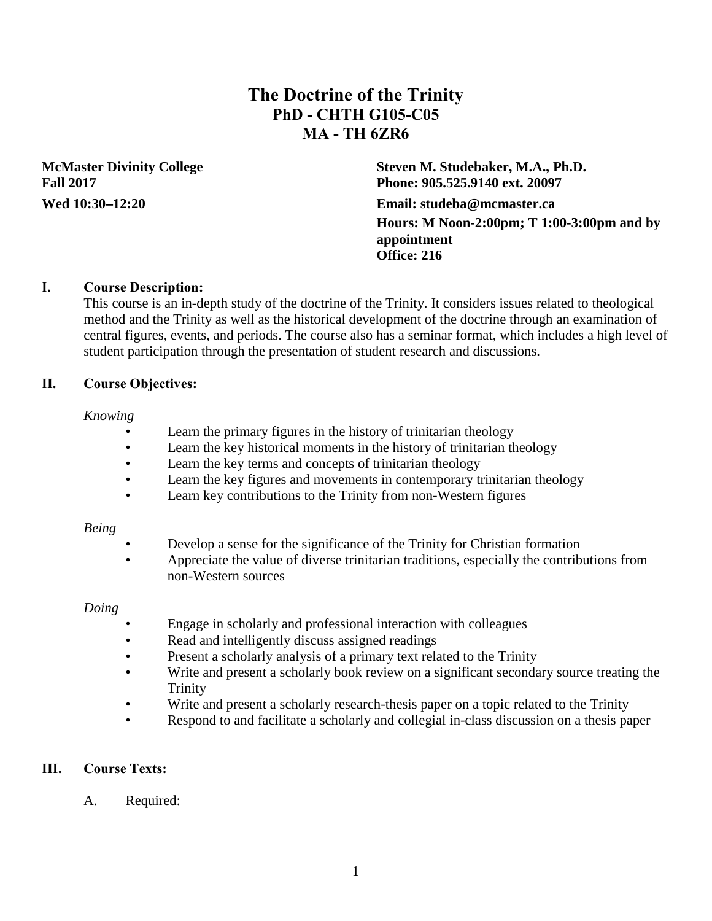# **The Doctrine of the Trinity PhD - CHTH G105-C05 MA - TH 6ZR6**

**McMaster Divinity College Steven M. Studebaker, M.A., Ph.D. Fall 2017 Phone: 905.525.9140 ext. 20097 Wed 10:30**–**12:20 Email: studeba@mcmaster.ca Hours: M Noon-2:00pm; T 1:00-3:00pm and by appointment Office: 216**

# **I. Course Description:**

This course is an in-depth study of the doctrine of the Trinity. It considers issues related to theological method and the Trinity as well as the historical development of the doctrine through an examination of central figures, events, and periods. The course also has a seminar format, which includes a high level of student participation through the presentation of student research and discussions.

### **II. Course Objectives:**

#### *Knowing*

- Learn the primary figures in the history of trinitarian theology
- Learn the key historical moments in the history of trinitarian theology
- Learn the key terms and concepts of trinitarian theology
- Learn the key figures and movements in contemporary trinitarian theology
- Learn key contributions to the Trinity from non-Western figures

#### *Being*

- Develop a sense for the significance of the Trinity for Christian formation
- Appreciate the value of diverse trinitarian traditions, especially the contributions from non-Western sources

#### *Doing*

- Engage in scholarly and professional interaction with colleagues
- Read and intelligently discuss assigned readings
- Present a scholarly analysis of a primary text related to the Trinity
- Write and present a scholarly book review on a significant secondary source treating the Trinity
- Write and present a scholarly research-thesis paper on a topic related to the Trinity
- Respond to and facilitate a scholarly and collegial in-class discussion on a thesis paper

# **III. Course Texts:**

# A. Required: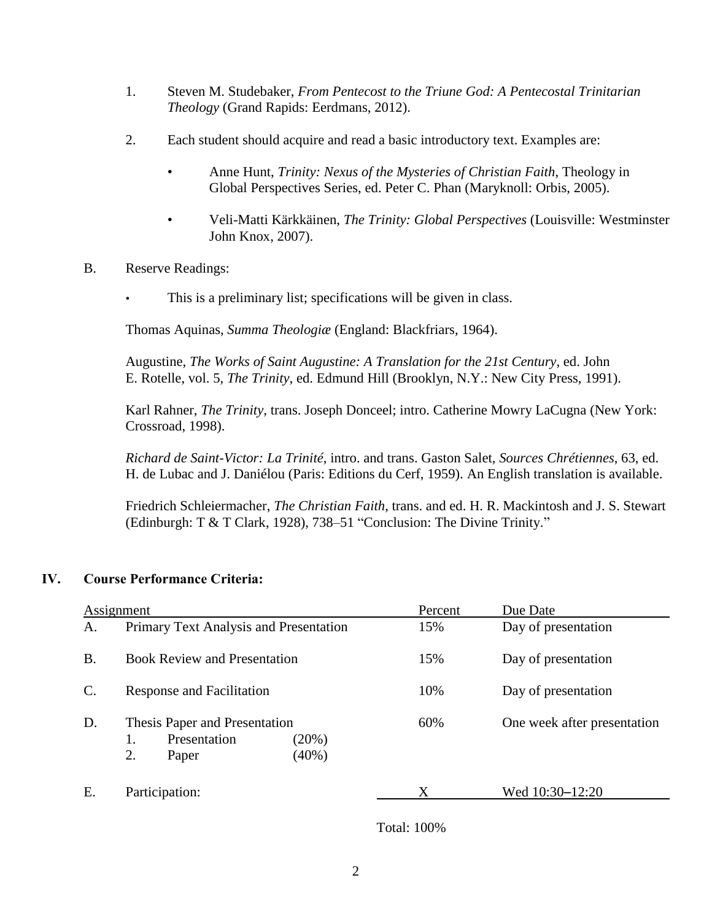- 1. Steven M. Studebaker, *From Pentecost to the Triune God: A Pentecostal Trinitarian Theology* (Grand Rapids: Eerdmans, 2012).
- 2. Each student should acquire and read a basic introductory text. Examples are:
	- Anne Hunt, *Trinity: Nexus of the Mysteries of Christian Faith*, Theology in Global Perspectives Series, ed. Peter C. Phan (Maryknoll: Orbis, 2005).
	- Veli-Matti Kärkkäinen, *The Trinity: Global Perspectives* (Louisville: Westminster John Knox, 2007).
- B. Reserve Readings:
	- This is a preliminary list; specifications will be given in class.

Thomas Aquinas, *Summa Theologiæ* (England: Blackfriars, 1964).

Augustine, *The Works of Saint Augustine: A Translation for the 21st Century*, ed. John E. Rotelle, vol. 5, *The Trinity*, ed. Edmund Hill (Brooklyn, N.Y.: New City Press, 1991).

Karl Rahner, *The Trinity*, trans. Joseph Donceel; intro. Catherine Mowry LaCugna (New York: Crossroad, 1998).

*Richard de Saint-Victor: La Trinité*, intro. and trans. Gaston Salet, *Sources Chrétiennes*, 63, ed. H. de Lubac and J. Daniélou (Paris: Editions du Cerf, 1959). An English translation is available.

Friedrich Schleiermacher, *The Christian Faith*, trans. and ed. H. R. Mackintosh and J. S. Stewart (Edinburgh: T & T Clark, 1928), 738–51 "Conclusion: The Divine Trinity."

# **IV. Course Performance Criteria:**

|           | Assignment                                                                        | Percent | Due Date                    |
|-----------|-----------------------------------------------------------------------------------|---------|-----------------------------|
| А.        | Primary Text Analysis and Presentation                                            | 15%     | Day of presentation         |
| <b>B.</b> | <b>Book Review and Presentation</b>                                               | 15%     | Day of presentation         |
| C.        | <b>Response and Facilitation</b>                                                  | 10%     | Day of presentation         |
| D.        | Thesis Paper and Presentation<br>Presentation<br>(20%)<br>2.<br>$(40\%)$<br>Paper | 60%     | One week after presentation |
| E.        | Participation:                                                                    | Χ       | Wed 10:30–12:20             |

Total: 100%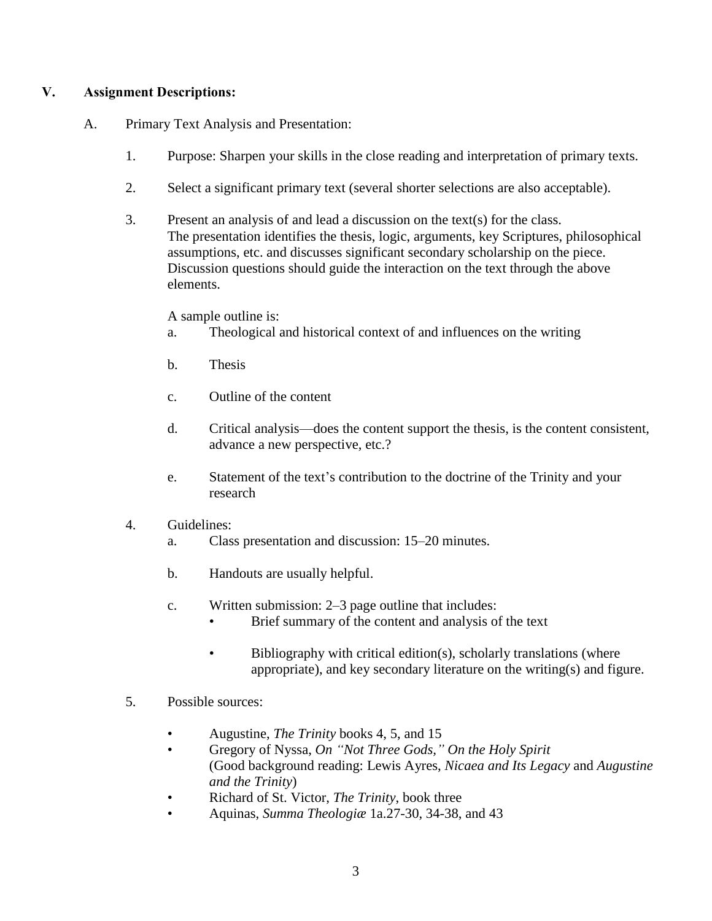# **V. Assignment Descriptions:**

- A. Primary Text Analysis and Presentation:
	- 1. Purpose: Sharpen your skills in the close reading and interpretation of primary texts.
	- 2. Select a significant primary text (several shorter selections are also acceptable).
	- 3. Present an analysis of and lead a discussion on the text(s) for the class. The presentation identifies the thesis, logic, arguments, key Scriptures, philosophical assumptions, etc. and discusses significant secondary scholarship on the piece. Discussion questions should guide the interaction on the text through the above elements.

A sample outline is:

- a. Theological and historical context of and influences on the writing
- b. Thesis
- c. Outline of the content
- d. Critical analysis—does the content support the thesis, is the content consistent, advance a new perspective, etc.?
- e. Statement of the text's contribution to the doctrine of the Trinity and your research
- 4. Guidelines:
	- a. Class presentation and discussion: 15–20 minutes.
	- b. Handouts are usually helpful.
	- c. Written submission: 2–3 page outline that includes:
		- Brief summary of the content and analysis of the text
		- Bibliography with critical edition(s), scholarly translations (where appropriate), and key secondary literature on the writing(s) and figure.
- 5. Possible sources:
	- Augustine, *The Trinity* books 4, 5, and 15
	- Gregory of Nyssa, *On "Not Three Gods," On the Holy Spirit* (Good background reading: Lewis Ayres, *Nicaea and Its Legacy* and *Augustine and the Trinity*)
	- Richard of St. Victor, *The Trinity*, book three
	- Aquinas, *Summa Theologiæ* 1a.27-30, 34-38, and 43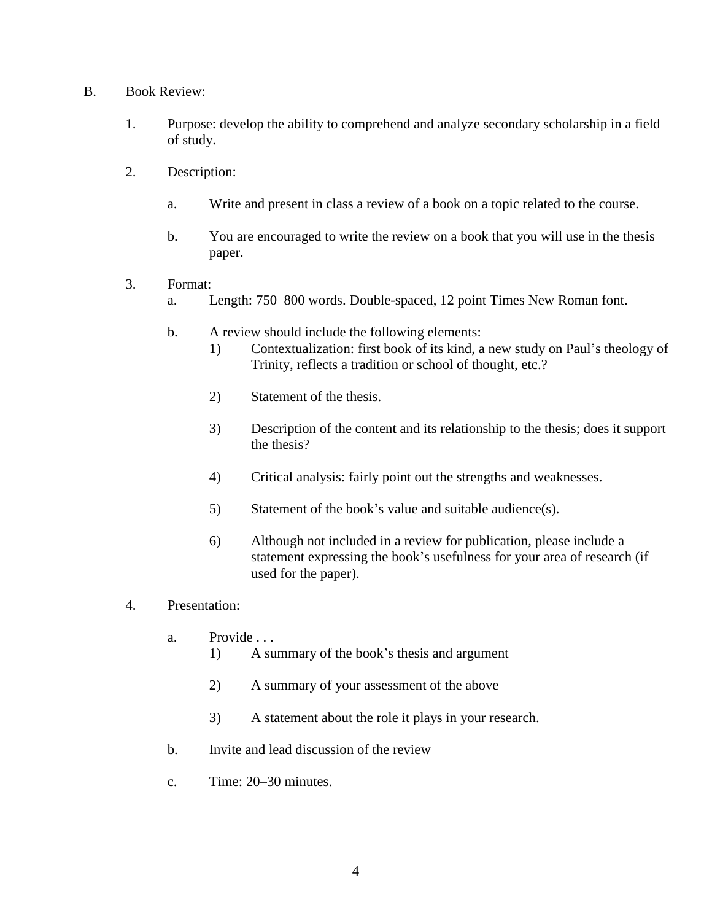- B. Book Review:
	- 1. Purpose: develop the ability to comprehend and analyze secondary scholarship in a field of study.
	- 2. Description:
		- a. Write and present in class a review of a book on a topic related to the course.
		- b. You are encouraged to write the review on a book that you will use in the thesis paper.
	- 3. Format:
		- a. Length: 750–800 words. Double-spaced, 12 point Times New Roman font.
		- b. A review should include the following elements:
			- 1) Contextualization: first book of its kind, a new study on Paul's theology of Trinity, reflects a tradition or school of thought, etc.?
			- 2) Statement of the thesis.
			- 3) Description of the content and its relationship to the thesis; does it support the thesis?
			- 4) Critical analysis: fairly point out the strengths and weaknesses.
			- 5) Statement of the book's value and suitable audience(s).
			- 6) Although not included in a review for publication, please include a statement expressing the book's usefulness for your area of research (if used for the paper).
	- 4. Presentation:
		- a. Provide . . .
			- 1) A summary of the book's thesis and argument
			- 2) A summary of your assessment of the above
			- 3) A statement about the role it plays in your research.
		- b. Invite and lead discussion of the review
		- c. Time: 20–30 minutes.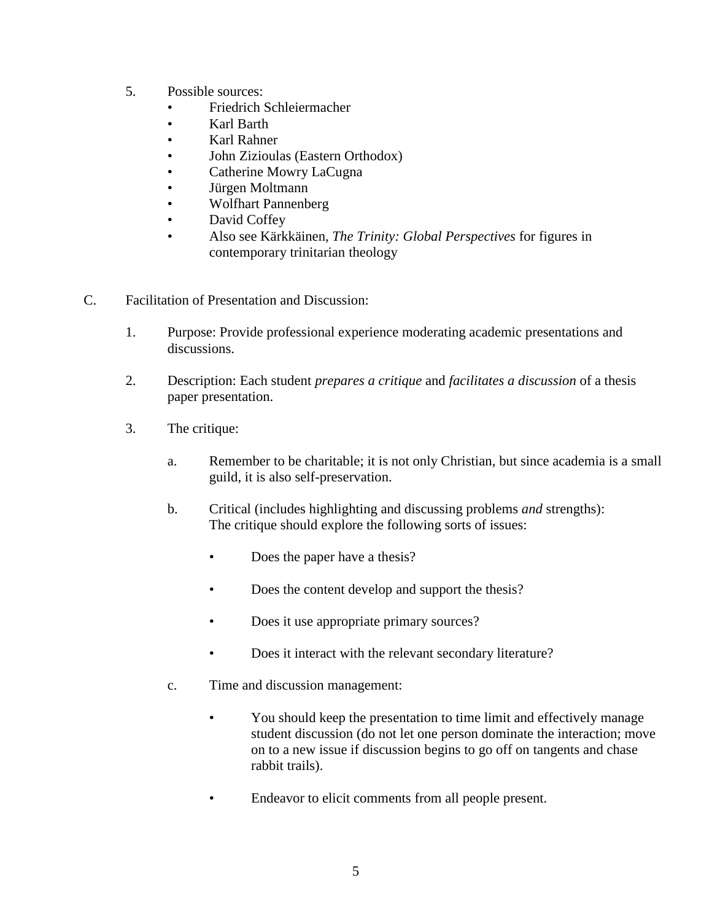- 5. Possible sources:
	- Friedrich Schleiermacher
	- Karl Barth
	- Karl Rahner
	- John Zizioulas (Eastern Orthodox)
	- Catherine Mowry LaCugna
	- Jürgen Moltmann
	- Wolfhart Pannenberg
	- David Coffey
	- Also see Kärkkäinen, *The Trinity: Global Perspectives* for figures in contemporary trinitarian theology
- C. Facilitation of Presentation and Discussion:
	- 1. Purpose: Provide professional experience moderating academic presentations and discussions.
	- 2. Description: Each student *prepares a critique* and *facilitates a discussion* of a thesis paper presentation.
	- 3. The critique:
		- a. Remember to be charitable; it is not only Christian, but since academia is a small guild, it is also self-preservation.
		- b. Critical (includes highlighting and discussing problems *and* strengths): The critique should explore the following sorts of issues:
			- Does the paper have a thesis?
			- Does the content develop and support the thesis?
			- Does it use appropriate primary sources?
			- Does it interact with the relevant secondary literature?
		- c. Time and discussion management:
			- You should keep the presentation to time limit and effectively manage student discussion (do not let one person dominate the interaction; move on to a new issue if discussion begins to go off on tangents and chase rabbit trails).
			- Endeavor to elicit comments from all people present.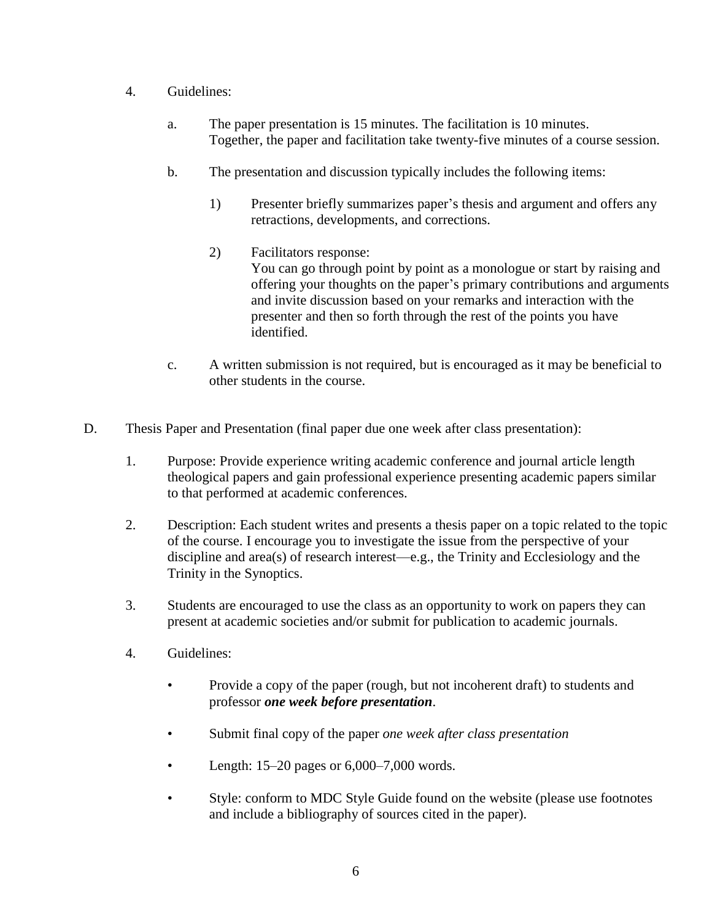- 4. Guidelines:
	- a. The paper presentation is 15 minutes. The facilitation is 10 minutes. Together, the paper and facilitation take twenty-five minutes of a course session.
	- b. The presentation and discussion typically includes the following items:
		- 1) Presenter briefly summarizes paper's thesis and argument and offers any retractions, developments, and corrections.
		- 2) Facilitators response: You can go through point by point as a monologue or start by raising and offering your thoughts on the paper's primary contributions and arguments and invite discussion based on your remarks and interaction with the presenter and then so forth through the rest of the points you have identified.
	- c. A written submission is not required, but is encouraged as it may be beneficial to other students in the course.
- D. Thesis Paper and Presentation (final paper due one week after class presentation):
	- 1. Purpose: Provide experience writing academic conference and journal article length theological papers and gain professional experience presenting academic papers similar to that performed at academic conferences.
	- 2. Description: Each student writes and presents a thesis paper on a topic related to the topic of the course. I encourage you to investigate the issue from the perspective of your discipline and area(s) of research interest—e.g., the Trinity and Ecclesiology and the Trinity in the Synoptics.
	- 3. Students are encouraged to use the class as an opportunity to work on papers they can present at academic societies and/or submit for publication to academic journals.
	- 4. Guidelines:
		- Provide a copy of the paper (rough, but not incoherent draft) to students and professor *one week before presentation*.
		- Submit final copy of the paper *one week after class presentation*
		- Length: 15–20 pages or 6,000–7,000 words.
		- Style: conform to MDC Style Guide found on the website (please use footnotes and include a bibliography of sources cited in the paper).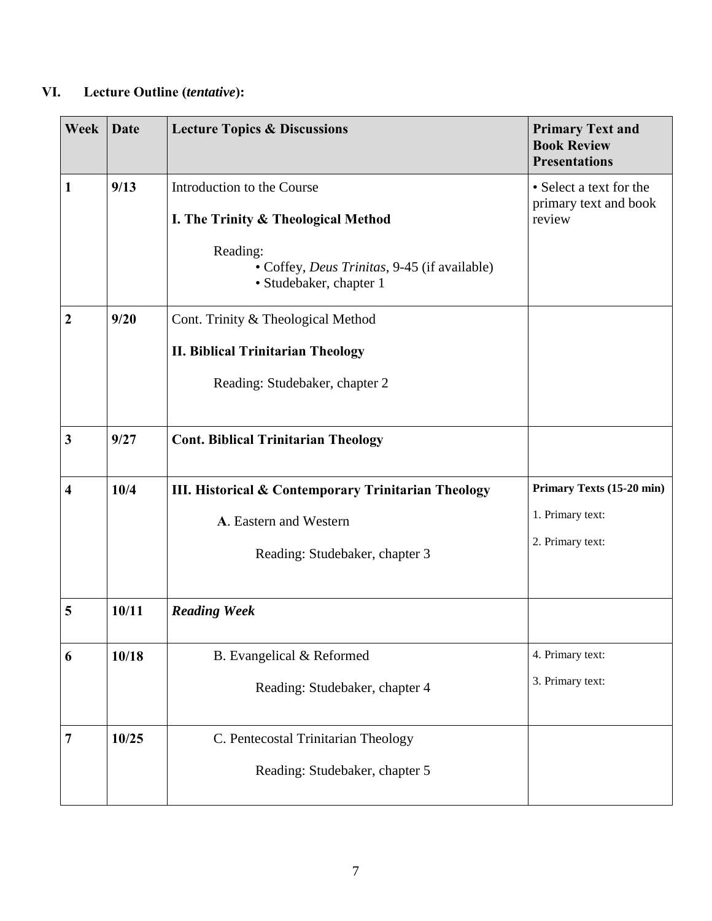# **VI. Lecture Outline (***tentative***):**

| Week                    | Date  | <b>Lecture Topics &amp; Discussions</b>                                                                                                                  | <b>Primary Text and</b><br><b>Book Review</b><br><b>Presentations</b> |  |
|-------------------------|-------|----------------------------------------------------------------------------------------------------------------------------------------------------------|-----------------------------------------------------------------------|--|
| 1                       | 9/13  | Introduction to the Course<br>I. The Trinity & Theological Method<br>Reading:<br>• Coffey, Deus Trinitas, 9-45 (if available)<br>· Studebaker, chapter 1 | • Select a text for the<br>primary text and book<br>review            |  |
| $\boldsymbol{2}$        | 9/20  | Cont. Trinity & Theological Method<br><b>II. Biblical Trinitarian Theology</b><br>Reading: Studebaker, chapter 2                                         |                                                                       |  |
| 3                       | 9/27  | <b>Cont. Biblical Trinitarian Theology</b>                                                                                                               |                                                                       |  |
| $\overline{\mathbf{4}}$ | 10/4  | III. Historical & Contemporary Trinitarian Theology<br>A. Eastern and Western<br>Reading: Studebaker, chapter 3                                          | Primary Texts (15-20 min)<br>1. Primary text:<br>2. Primary text:     |  |
| 5                       | 10/11 | <b>Reading Week</b>                                                                                                                                      |                                                                       |  |
| 6                       | 10/18 | B. Evangelical & Reformed<br>Reading: Studebaker, chapter 4                                                                                              | 4. Primary text:<br>3. Primary text:                                  |  |
| 7                       | 10/25 | C. Pentecostal Trinitarian Theology<br>Reading: Studebaker, chapter 5                                                                                    |                                                                       |  |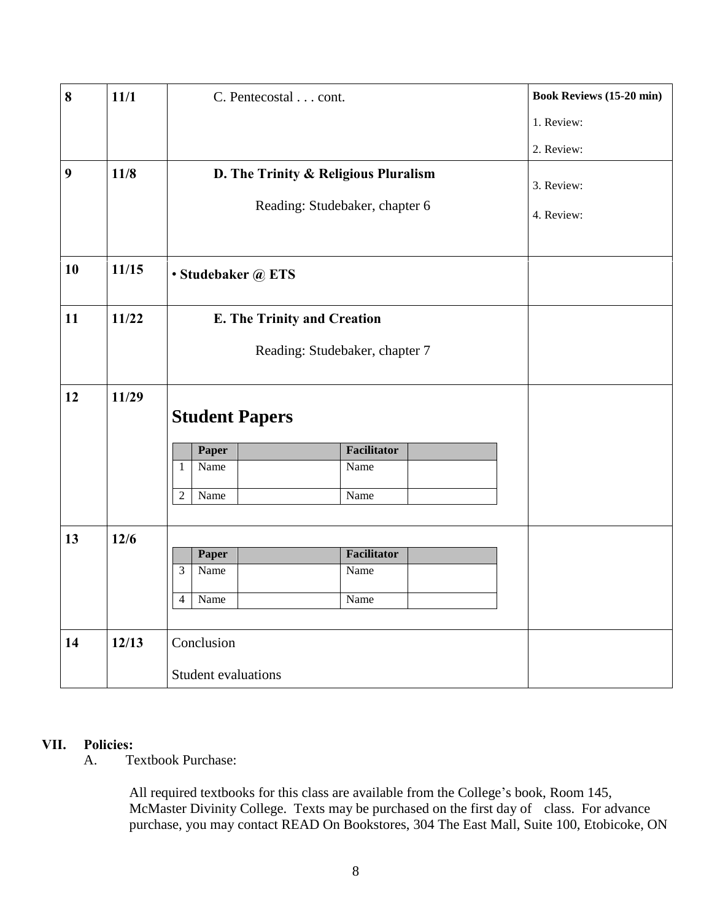| 8  | 11/1   | C. Pentecostal cont.                 |                    | <b>Book Reviews (15-20 min)</b> |
|----|--------|--------------------------------------|--------------------|---------------------------------|
|    |        |                                      |                    | 1. Review:                      |
|    |        |                                      |                    | 2. Review:                      |
| 9  | 11/8   | D. The Trinity & Religious Pluralism | 3. Review:         |                                 |
|    |        | Reading: Studebaker, chapter 6       |                    |                                 |
|    |        |                                      | 4. Review:         |                                 |
|    |        |                                      |                    |                                 |
| 10 | 11/15  | · Studebaker @ ETS                   |                    |                                 |
| 11 | 11/22  | <b>E. The Trinity and Creation</b>   |                    |                                 |
|    |        | Reading: Studebaker, chapter 7       |                    |                                 |
|    |        |                                      |                    |                                 |
| 12 | 11/29  |                                      |                    |                                 |
|    |        | <b>Student Papers</b>                |                    |                                 |
|    |        | Paper                                | <b>Facilitator</b> |                                 |
|    |        | Name<br>$\mathbf{1}$                 | Name               |                                 |
|    |        | $\overline{2}$<br>Name               | Name               |                                 |
|    |        |                                      |                    |                                 |
| 13 | $12/6$ |                                      |                    |                                 |
|    |        | Paper<br>$\overline{3}$<br>Name      | <b>Facilitator</b> |                                 |
|    |        |                                      | Name               |                                 |
|    |        | Name<br>$\overline{4}$               | Name               |                                 |
|    |        |                                      |                    |                                 |
| 14 | 12/13  | Conclusion                           |                    |                                 |
|    |        | Student evaluations                  |                    |                                 |

# **VII. Policies:**

A. Textbook Purchase:

All required textbooks for this class are available from the College's book, Room 145, McMaster Divinity College. Texts may be purchased on the first day of class. For advance purchase, you may contact READ On Bookstores, 304 The East Mall, Suite 100, Etobicoke, ON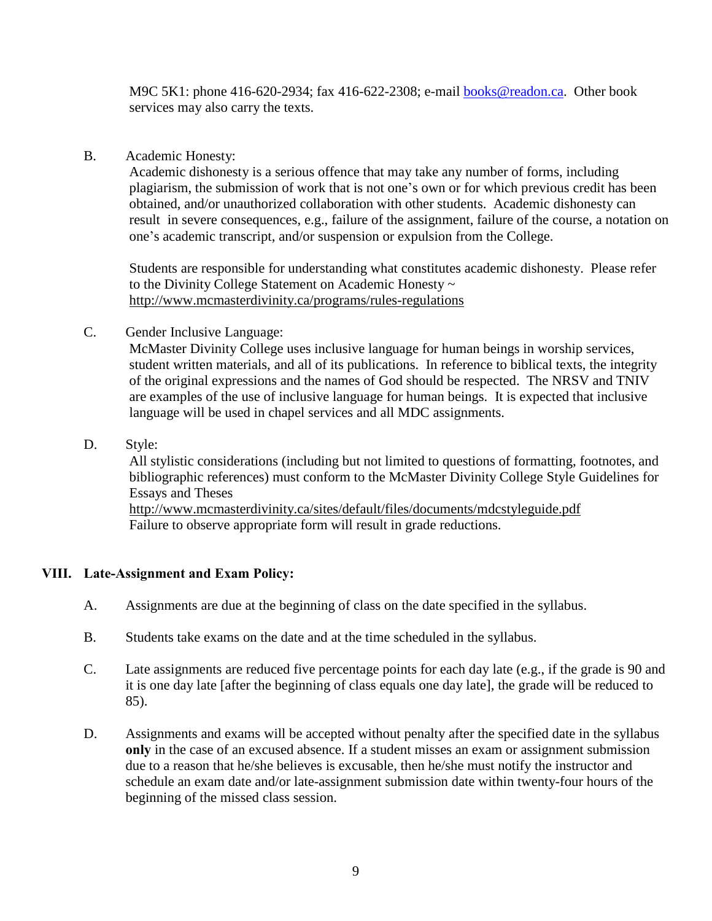M9C 5K1: phone 416-620-2934; fax 416-622-2308; e-mail [books@readon.ca.](mailto:books@readon.ca) Other book services may also carry the texts.

B. Academic Honesty:

Academic dishonesty is a serious offence that may take any number of forms, including plagiarism, the submission of work that is not one's own or for which previous credit has been obtained, and/or unauthorized collaboration with other students. Academic dishonesty can result in severe consequences, e.g., failure of the assignment, failure of the course, a notation on one's academic transcript, and/or suspension or expulsion from the College.

Students are responsible for understanding what constitutes academic dishonesty. Please refer to the Divinity College Statement on Academic Honesty ~ <http://www.mcmasterdivinity.ca/programs/rules-regulations>

C. Gender Inclusive Language:

McMaster Divinity College uses inclusive language for human beings in worship services, student written materials, and all of its publications. In reference to biblical texts, the integrity of the original expressions and the names of God should be respected. The NRSV and TNIV are examples of the use of inclusive language for human beings. It is expected that inclusive language will be used in chapel services and all MDC assignments.

D. Style:

All stylistic considerations (including but not limited to questions of formatting, footnotes, and bibliographic references) must conform to the McMaster Divinity College Style Guidelines for Essays and Theses

<http://www.mcmasterdivinity.ca/sites/default/files/documents/mdcstyleguide.pdf> Failure to observe appropriate form will result in grade reductions.

# **VIII. Late-Assignment and Exam Policy:**

- A. Assignments are due at the beginning of class on the date specified in the syllabus.
- B. Students take exams on the date and at the time scheduled in the syllabus.
- C. Late assignments are reduced five percentage points for each day late (e.g., if the grade is 90 and it is one day late [after the beginning of class equals one day late], the grade will be reduced to 85).
- D. Assignments and exams will be accepted without penalty after the specified date in the syllabus **only** in the case of an excused absence. If a student misses an exam or assignment submission due to a reason that he/she believes is excusable, then he/she must notify the instructor and schedule an exam date and/or late-assignment submission date within twenty-four hours of the beginning of the missed class session.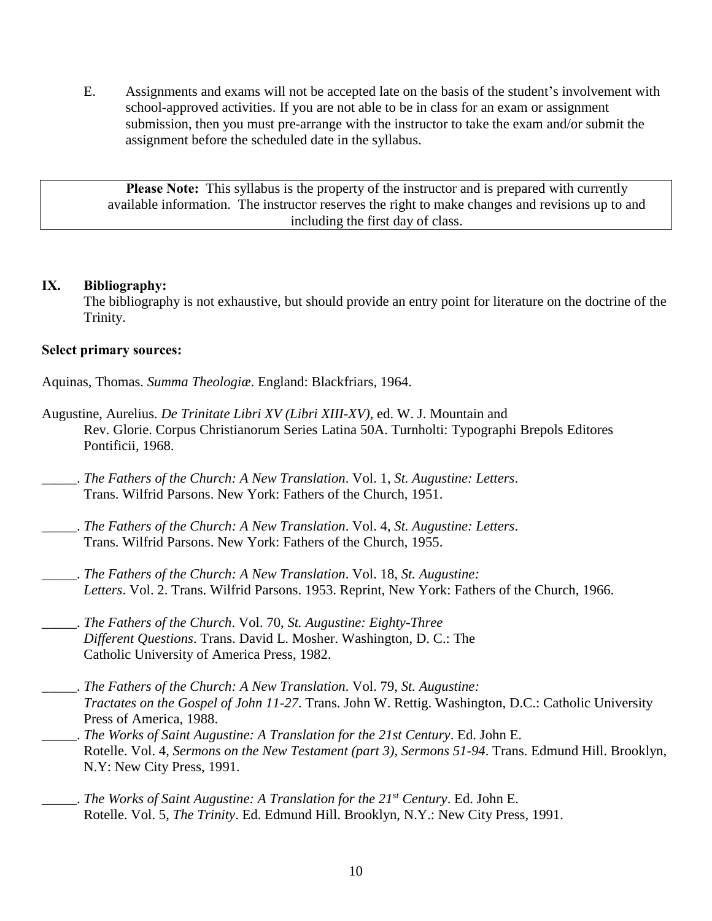E. Assignments and exams will not be accepted late on the basis of the student's involvement with school-approved activities. If you are not able to be in class for an exam or assignment submission, then you must pre-arrange with the instructor to take the exam and/or submit the assignment before the scheduled date in the syllabus.

**Please Note:** This syllabus is the property of the instructor and is prepared with currently available information. The instructor reserves the right to make changes and revisions up to and including the first day of class.

### **IX. Bibliography:**

The bibliography is not exhaustive, but should provide an entry point for literature on the doctrine of the Trinity.

### **Select primary sources:**

Aquinas, Thomas. *Summa Theologiæ*. England: Blackfriars, 1964.

- Augustine, Aurelius. *De Trinitate Libri XV (Libri XIII-XV)*, ed. W. J. Mountain and Rev. Glorie. Corpus Christianorum Series Latina 50A. Turnholti: Typographi Brepols Editores Pontificii, 1968.
- \_\_\_\_\_. *The Fathers of the Church: A New Translation*. Vol. 1, *St. Augustine: Letters*. Trans. Wilfrid Parsons. New York: Fathers of the Church, 1951.
- \_\_\_\_\_. *The Fathers of the Church: A New Translation*. Vol. 4, *St. Augustine: Letters*. Trans. Wilfrid Parsons. New York: Fathers of the Church, 1955.
- \_\_\_\_\_. *The Fathers of the Church: A New Translation*. Vol. 18, *St. Augustine: Letters*. Vol. 2. Trans. Wilfrid Parsons. 1953. Reprint, New York: Fathers of the Church, 1966.
- \_\_\_\_\_. *The Fathers of the Church*. Vol. 70, *St. Augustine: Eighty-Three Different Questions*. Trans. David L. Mosher. Washington, D. C.: The Catholic University of America Press, 1982.
- \_\_\_\_\_. *The Fathers of the Church: A New Translation*. Vol. 79, *St. Augustine: Tractates on the Gospel of John 11-27*. Trans. John W. Rettig. Washington, D.C.: Catholic University Press of America, 1988.
- \_\_\_\_\_. *The Works of Saint Augustine: A Translation for the 21st Century*. Ed. John E. Rotelle. Vol. 4, *Sermons on the New Testament (part 3), Sermons 51-94*. Trans. Edmund Hill. Brooklyn, N.Y: New City Press, 1991.
- \_\_\_\_\_. *The Works of Saint Augustine: A Translation for the 21st Century*. Ed. John E. Rotelle. Vol. 5, *The Trinity*. Ed. Edmund Hill. Brooklyn, N.Y.: New City Press, 1991.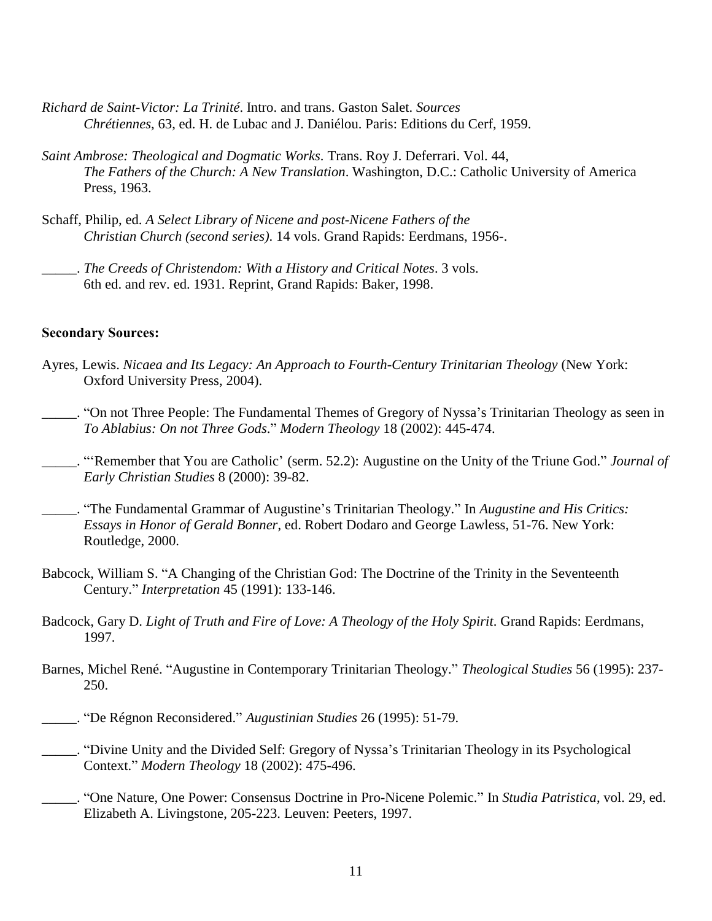- *Richard de Saint-Victor: La Trinité*. Intro. and trans. Gaston Salet. *Sources Chrétiennes*, 63, ed. H. de Lubac and J. Daniélou. Paris: Editions du Cerf, 1959.
- *Saint Ambrose: Theological and Dogmatic Works*. Trans. Roy J. Deferrari. Vol. 44, *The Fathers of the Church: A New Translation*. Washington, D.C.: Catholic University of America Press, 1963.
- Schaff, Philip, ed. *A Select Library of Nicene and post-Nicene Fathers of the Christian Church (second series)*. 14 vols. Grand Rapids: Eerdmans, 1956-.
- \_\_\_\_\_. *The Creeds of Christendom: With a History and Critical Notes*. 3 vols. 6th ed. and rev. ed. 1931. Reprint, Grand Rapids: Baker, 1998.

### **Secondary Sources:**

- Ayres, Lewis. *Nicaea and Its Legacy: An Approach to Fourth-Century Trinitarian Theology* (New York: Oxford University Press, 2004).
- \_\_\_\_\_. "On not Three People: The Fundamental Themes of Gregory of Nyssa's Trinitarian Theology as seen in *To Ablabius: On not Three Gods*." *Modern Theology* 18 (2002): 445-474.
- \_\_\_\_\_. "'Remember that You are Catholic' (serm. 52.2): Augustine on the Unity of the Triune God." *Journal of Early Christian Studies* 8 (2000): 39-82.
- \_\_\_\_\_. "The Fundamental Grammar of Augustine's Trinitarian Theology." In *Augustine and His Critics: Essays in Honor of Gerald Bonner*, ed. Robert Dodaro and George Lawless, 51-76. New York: Routledge, 2000.
- Babcock, William S. "A Changing of the Christian God: The Doctrine of the Trinity in the Seventeenth Century." *Interpretation* 45 (1991): 133-146.
- Badcock, Gary D. *Light of Truth and Fire of Love: A Theology of the Holy Spirit*. Grand Rapids: Eerdmans, 1997.
- Barnes, Michel René. "Augustine in Contemporary Trinitarian Theology." *Theological Studies* 56 (1995): 237- 250.
- \_\_\_\_\_. "De Régnon Reconsidered." *Augustinian Studies* 26 (1995): 51-79.
- \_\_\_\_\_. "Divine Unity and the Divided Self: Gregory of Nyssa's Trinitarian Theology in its Psychological Context." *Modern Theology* 18 (2002): 475-496.
- \_\_\_\_\_. "One Nature, One Power: Consensus Doctrine in Pro-Nicene Polemic." In *Studia Patristica*, vol. 29, ed. Elizabeth A. Livingstone, 205-223. Leuven: Peeters, 1997.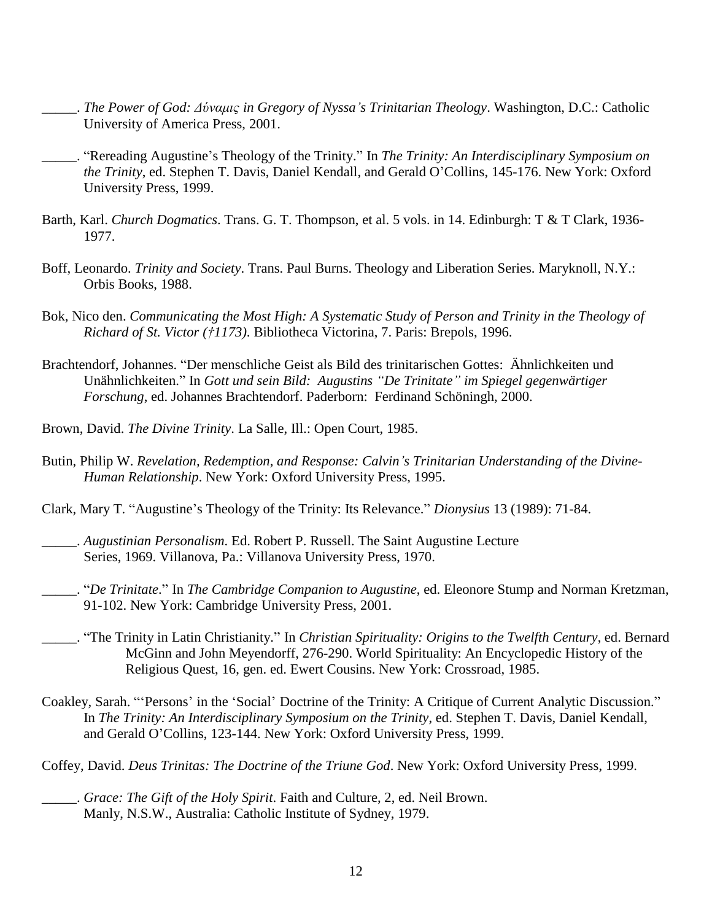- \_\_\_\_\_. *The Power of God: Δύναμις in Gregory of Nyssa's Trinitarian Theology*. Washington, D.C.: Catholic University of America Press, 2001.
- \_\_\_\_\_. "Rereading Augustine's Theology of the Trinity." In *The Trinity: An Interdisciplinary Symposium on the Trinity*, ed. Stephen T. Davis, Daniel Kendall, and Gerald O'Collins, 145-176. New York: Oxford University Press, 1999.
- Barth, Karl. *Church Dogmatics*. Trans. G. T. Thompson, et al. 5 vols. in 14. Edinburgh: T & T Clark, 1936- 1977.
- Boff, Leonardo. *Trinity and Society*. Trans. Paul Burns. Theology and Liberation Series. Maryknoll, N.Y.: Orbis Books, 1988.
- Bok, Nico den. *Communicating the Most High: A Systematic Study of Person and Trinity in the Theology of Richard of St. Victor (†1173)*. Bibliotheca Victorina, 7. Paris: Brepols, 1996.
- Brachtendorf, Johannes. "Der menschliche Geist als Bild des trinitarischen Gottes: Ähnlichkeiten und Unähnlichkeiten." In *Gott und sein Bild: Augustins "De Trinitate" im Spiegel gegenwärtiger Forschung*, ed. Johannes Brachtendorf. Paderborn: Ferdinand Schöningh, 2000.
- Brown, David. *The Divine Trinity*. La Salle, Ill.: Open Court, 1985.
- Butin, Philip W. *Revelation, Redemption, and Response: Calvin's Trinitarian Understanding of the Divine-Human Relationship*. New York: Oxford University Press, 1995.
- Clark, Mary T. "Augustine's Theology of the Trinity: Its Relevance." *Dionysius* 13 (1989): 71-84.
- \_\_\_\_\_. *Augustinian Personalism*. Ed. Robert P. Russell. The Saint Augustine Lecture Series, 1969. Villanova, Pa.: Villanova University Press, 1970.
- \_\_\_\_\_. "*De Trinitate*." In *The Cambridge Companion to Augustine*, ed. Eleonore Stump and Norman Kretzman, 91-102. New York: Cambridge University Press, 2001.
- \_\_\_\_\_. "The Trinity in Latin Christianity." In *Christian Spirituality: Origins to the Twelfth Century*, ed. Bernard McGinn and John Meyendorff, 276-290. World Spirituality: An Encyclopedic History of the Religious Quest, 16, gen. ed. Ewert Cousins. New York: Crossroad, 1985.
- Coakley, Sarah. "'Persons' in the 'Social' Doctrine of the Trinity: A Critique of Current Analytic Discussion." In *The Trinity: An Interdisciplinary Symposium on the Trinity*, ed. Stephen T. Davis, Daniel Kendall, and Gerald O'Collins, 123-144. New York: Oxford University Press, 1999.

Coffey, David. *Deus Trinitas: The Doctrine of the Triune God*. New York: Oxford University Press, 1999.

\_\_\_\_\_. *Grace: The Gift of the Holy Spirit*. Faith and Culture, 2, ed. Neil Brown. Manly, N.S.W., Australia: Catholic Institute of Sydney, 1979.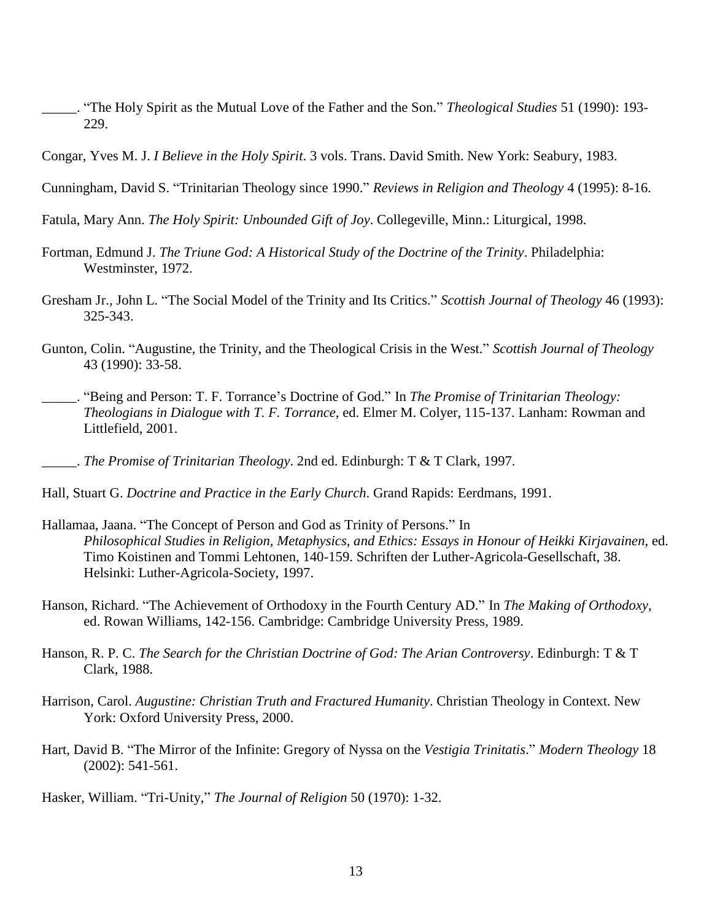- \_\_\_\_\_. "The Holy Spirit as the Mutual Love of the Father and the Son." *Theological Studies* 51 (1990): 193- 229.
- Congar, Yves M. J. *I Believe in the Holy Spirit*. 3 vols. Trans. David Smith. New York: Seabury, 1983.
- Cunningham, David S. "Trinitarian Theology since 1990." *Reviews in Religion and Theology* 4 (1995): 8-16.
- Fatula, Mary Ann. *The Holy Spirit: Unbounded Gift of Joy*. Collegeville, Minn.: Liturgical, 1998.
- Fortman, Edmund J. *The Triune God: A Historical Study of the Doctrine of the Trinity*. Philadelphia: Westminster, 1972.
- Gresham Jr., John L. "The Social Model of the Trinity and Its Critics." *Scottish Journal of Theology* 46 (1993): 325-343.
- Gunton, Colin. "Augustine, the Trinity, and the Theological Crisis in the West." *Scottish Journal of Theology* 43 (1990): 33-58.
- \_\_\_\_\_. "Being and Person: T. F. Torrance's Doctrine of God." In *The Promise of Trinitarian Theology: Theologians in Dialogue with T. F. Torrance*, ed. Elmer M. Colyer, 115-137. Lanham: Rowman and Littlefield, 2001.
- \_\_\_\_\_. *The Promise of Trinitarian Theology*. 2nd ed. Edinburgh: T & T Clark, 1997.
- Hall, Stuart G. *Doctrine and Practice in the Early Church*. Grand Rapids: Eerdmans, 1991.
- Hallamaa, Jaana. "The Concept of Person and God as Trinity of Persons." In *Philosophical Studies in Religion, Metaphysics, and Ethics: Essays in Honour of Heikki Kirjavainen*, ed. Timo Koistinen and Tommi Lehtonen, 140-159. Schriften der Luther-Agricola-Gesellschaft, 38. Helsinki: Luther-Agricola-Society, 1997.
- Hanson, Richard. "The Achievement of Orthodoxy in the Fourth Century AD." In *The Making of Orthodoxy*, ed. Rowan Williams, 142-156. Cambridge: Cambridge University Press, 1989.
- Hanson, R. P. C. *The Search for the Christian Doctrine of God: The Arian Controversy*. Edinburgh: T & T Clark, 1988.
- Harrison, Carol. *Augustine: Christian Truth and Fractured Humanity*. Christian Theology in Context. New York: Oxford University Press, 2000.
- Hart, David B. "The Mirror of the Infinite: Gregory of Nyssa on the *Vestigia Trinitatis*." *Modern Theology* 18 (2002): 541-561.

Hasker, William. "Tri-Unity," *The Journal of Religion* 50 (1970): 1-32.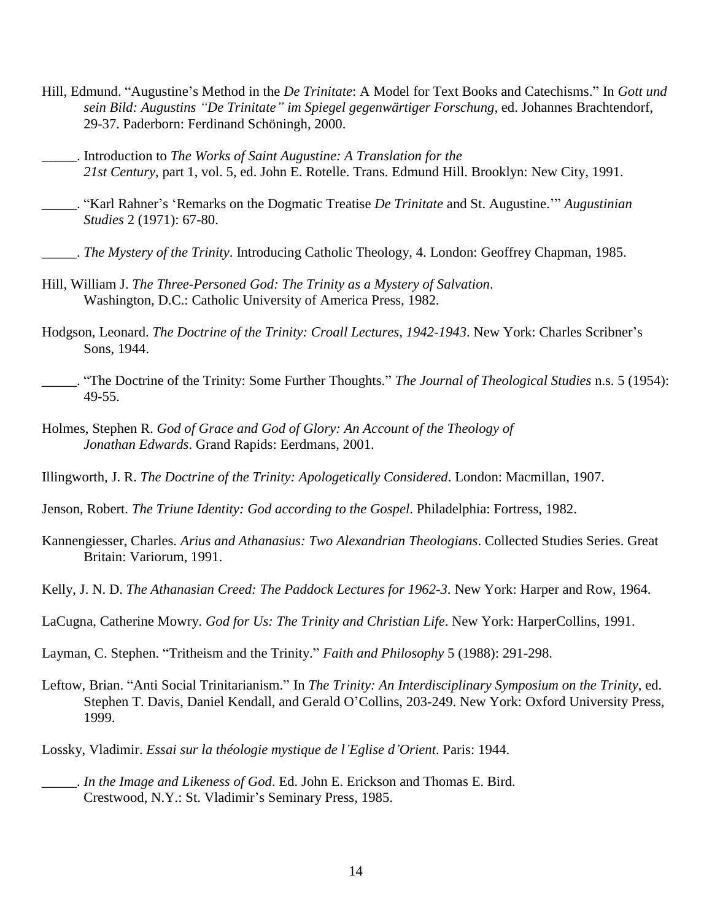- Hill, Edmund. "Augustine's Method in the *De Trinitate*: A Model for Text Books and Catechisms." In *Gott und sein Bild: Augustins "De Trinitate" im Spiegel gegenwärtiger Forschung*, ed. Johannes Brachtendorf, 29-37. Paderborn: Ferdinand Schöningh, 2000.
- \_\_\_\_\_. Introduction to *The Works of Saint Augustine: A Translation for the 21st Century*, part 1, vol. 5, ed. John E. Rotelle. Trans. Edmund Hill. Brooklyn: New City, 1991.
- \_\_\_\_\_. "Karl Rahner's 'Remarks on the Dogmatic Treatise *De Trinitate* and St. Augustine.'" *Augustinian Studies* 2 (1971): 67-80.
- \_\_\_\_\_. *The Mystery of the Trinity*. Introducing Catholic Theology, 4. London: Geoffrey Chapman, 1985.
- Hill, William J. *The Three-Personed God: The Trinity as a Mystery of Salvation*. Washington, D.C.: Catholic University of America Press, 1982.
- Hodgson, Leonard. *The Doctrine of the Trinity: Croall Lectures, 1942-1943*. New York: Charles Scribner's Sons, 1944.
- \_\_\_\_\_. "The Doctrine of the Trinity: Some Further Thoughts." *The Journal of Theological Studies* n.s. 5 (1954): 49-55.
- Holmes, Stephen R. *God of Grace and God of Glory: An Account of the Theology of Jonathan Edwards*. Grand Rapids: Eerdmans, 2001.
- Illingworth, J. R. *The Doctrine of the Trinity: Apologetically Considered*. London: Macmillan, 1907.
- Jenson, Robert. *The Triune Identity: God according to the Gospel*. Philadelphia: Fortress, 1982.
- Kannengiesser, Charles. *Arius and Athanasius: Two Alexandrian Theologians*. Collected Studies Series. Great Britain: Variorum, 1991.
- Kelly, J. N. D. *The Athanasian Creed: The Paddock Lectures for 1962-3*. New York: Harper and Row, 1964.
- LaCugna, Catherine Mowry. *God for Us: The Trinity and Christian Life*. New York: HarperCollins, 1991.
- Layman, C. Stephen. "Tritheism and the Trinity." *Faith and Philosophy* 5 (1988): 291-298.
- Leftow, Brian. "Anti Social Trinitarianism." In *The Trinity: An Interdisciplinary Symposium on the Trinity*, ed. Stephen T. Davis, Daniel Kendall, and Gerald O'Collins, 203-249. New York: Oxford University Press, 1999.

Lossky, Vladimir. *Essai sur la théologie mystique de l'Eglise d'Orient*. Paris: 1944.

\_\_\_\_\_. *In the Image and Likeness of God*. Ed. John E. Erickson and Thomas E. Bird. Crestwood, N.Y.: St. Vladimir's Seminary Press, 1985.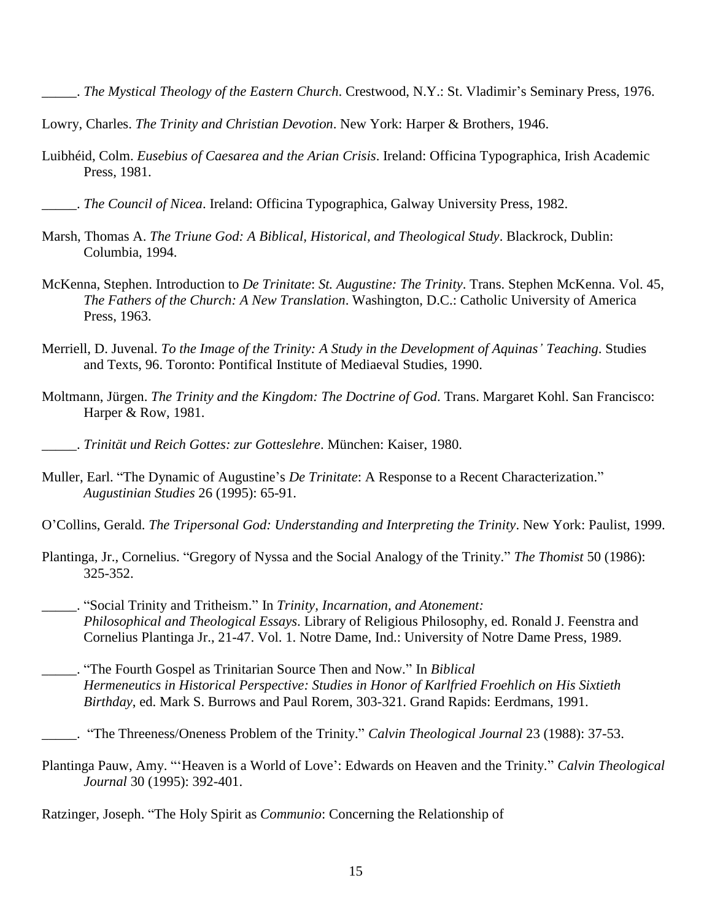\_\_\_\_\_. *The Mystical Theology of the Eastern Church*. Crestwood, N.Y.: St. Vladimir's Seminary Press, 1976.

Lowry, Charles. *The Trinity and Christian Devotion*. New York: Harper & Brothers, 1946.

- Luibhéid, Colm. *Eusebius of Caesarea and the Arian Crisis*. Ireland: Officina Typographica, Irish Academic Press, 1981.
- \_\_\_\_\_. *The Council of Nicea*. Ireland: Officina Typographica, Galway University Press, 1982.
- Marsh, Thomas A. *The Triune God: A Biblical, Historical, and Theological Study*. Blackrock, Dublin: Columbia, 1994.
- McKenna, Stephen. Introduction to *De Trinitate*: *St. Augustine: The Trinity*. Trans. Stephen McKenna. Vol. 45, *The Fathers of the Church: A New Translation*. Washington, D.C.: Catholic University of America Press, 1963.
- Merriell, D. Juvenal. *To the Image of the Trinity: A Study in the Development of Aquinas' Teaching*. Studies and Texts, 96. Toronto: Pontifical Institute of Mediaeval Studies, 1990.
- Moltmann, Jürgen. *The Trinity and the Kingdom: The Doctrine of God*. Trans. Margaret Kohl. San Francisco: Harper & Row, 1981.
- \_\_\_\_\_. *Trinität und Reich Gottes: zur Gotteslehre*. München: Kaiser, 1980.
- Muller, Earl. "The Dynamic of Augustine's *De Trinitate*: A Response to a Recent Characterization." *Augustinian Studies* 26 (1995): 65-91.
- O'Collins, Gerald. *The Tripersonal God: Understanding and Interpreting the Trinity*. New York: Paulist, 1999.
- Plantinga, Jr., Cornelius. "Gregory of Nyssa and the Social Analogy of the Trinity." *The Thomist* 50 (1986): 325-352.
- \_\_\_\_\_. "Social Trinity and Tritheism." In *Trinity, Incarnation, and Atonement: Philosophical and Theological Essays*. Library of Religious Philosophy, ed. Ronald J. Feenstra and Cornelius Plantinga Jr., 21-47. Vol. 1. Notre Dame, Ind.: University of Notre Dame Press, 1989.
- \_\_\_\_\_. "The Fourth Gospel as Trinitarian Source Then and Now." In *Biblical Hermeneutics in Historical Perspective: Studies in Honor of Karlfried Froehlich on His Sixtieth Birthday*, ed. Mark S. Burrows and Paul Rorem, 303-321. Grand Rapids: Eerdmans, 1991.
- \_\_\_\_\_. "The Threeness/Oneness Problem of the Trinity." *Calvin Theological Journal* 23 (1988): 37-53.
- Plantinga Pauw, Amy. "'Heaven is a World of Love': Edwards on Heaven and the Trinity." *Calvin Theological Journal* 30 (1995): 392-401.

Ratzinger, Joseph. "The Holy Spirit as *Communio*: Concerning the Relationship of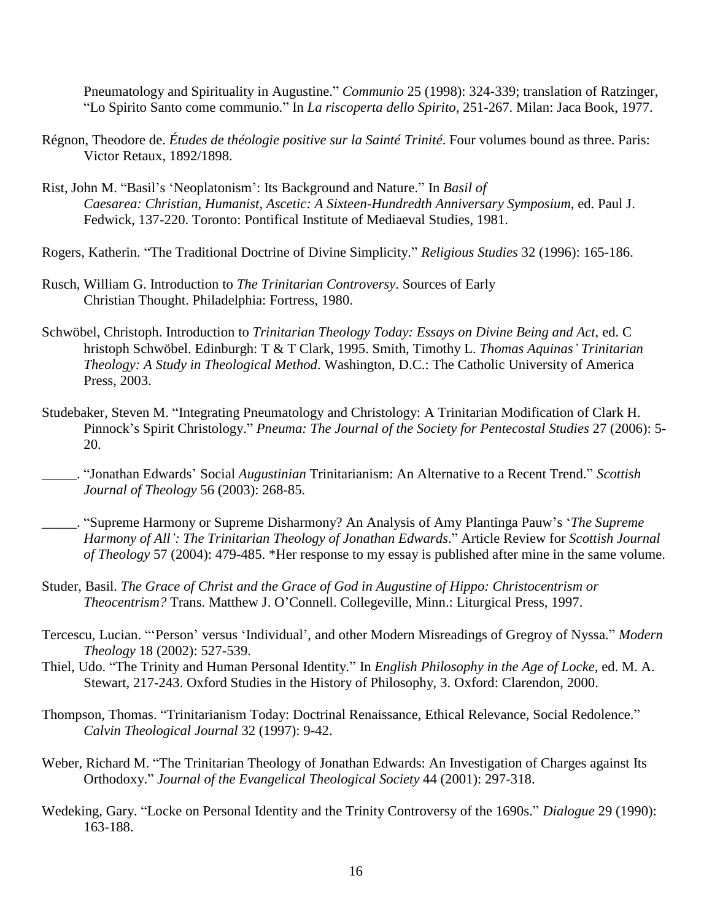Pneumatology and Spirituality in Augustine." *Communio* 25 (1998): 324-339; translation of Ratzinger, "Lo Spirito Santo come communio." In *La riscoperta dello Spirito*, 251-267. Milan: Jaca Book, 1977.

- Régnon, Theodore de. *Études de théologie positive sur la Sainté Trinité*. Four volumes bound as three. Paris: Victor Retaux, 1892/1898.
- Rist, John M. "Basil's 'Neoplatonism': Its Background and Nature." In *Basil of Caesarea: Christian, Humanist, Ascetic: A Sixteen-Hundredth Anniversary Symposium*, ed. Paul J. Fedwick, 137-220. Toronto: Pontifical Institute of Mediaeval Studies, 1981.
- Rogers, Katherin. "The Traditional Doctrine of Divine Simplicity." *Religious Studies* 32 (1996): 165-186.
- Rusch, William G. Introduction to *The Trinitarian Controversy*. Sources of Early Christian Thought. Philadelphia: Fortress, 1980.
- Schwöbel, Christoph. Introduction to *Trinitarian Theology Today: Essays on Divine Being and Act*, ed. C hristoph Schwöbel. Edinburgh: T & T Clark, 1995. Smith, Timothy L. *Thomas Aquinas' Trinitarian Theology: A Study in Theological Method*. Washington, D.C.: The Catholic University of America Press, 2003.
- Studebaker, Steven M. "Integrating Pneumatology and Christology: A Trinitarian Modification of Clark H. Pinnock's Spirit Christology." *Pneuma: The Journal of the Society for Pentecostal Studies* 27 (2006): 5- 20.
- \_\_\_\_\_. "Jonathan Edwards' Social *Augustinian* Trinitarianism: An Alternative to a Recent Trend." *Scottish Journal of Theology* 56 (2003): 268-85.
- \_\_\_\_\_. "Supreme Harmony or Supreme Disharmony? An Analysis of Amy Plantinga Pauw's '*The Supreme Harmony of All': The Trinitarian Theology of Jonathan Edwards*." Article Review for *Scottish Journal of Theology* 57 (2004): 479-485. \*Her response to my essay is published after mine in the same volume.
- Studer, Basil. *The Grace of Christ and the Grace of God in Augustine of Hippo: Christocentrism or Theocentrism?* Trans. Matthew J. O'Connell. Collegeville, Minn.: Liturgical Press, 1997.
- Tercescu, Lucian. "'Person' versus 'Individual', and other Modern Misreadings of Gregroy of Nyssa." *Modern Theology* 18 (2002): 527-539.
- Thiel, Udo. "The Trinity and Human Personal Identity." In *English Philosophy in the Age of Locke*, ed. M. A. Stewart, 217-243. Oxford Studies in the History of Philosophy, 3. Oxford: Clarendon, 2000.
- Thompson, Thomas. "Trinitarianism Today: Doctrinal Renaissance, Ethical Relevance, Social Redolence." *Calvin Theological Journal* 32 (1997): 9-42.
- Weber, Richard M. "The Trinitarian Theology of Jonathan Edwards: An Investigation of Charges against Its Orthodoxy." *Journal of the Evangelical Theological Society* 44 (2001): 297-318.
- Wedeking, Gary. "Locke on Personal Identity and the Trinity Controversy of the 1690s." *Dialogue* 29 (1990): 163-188.